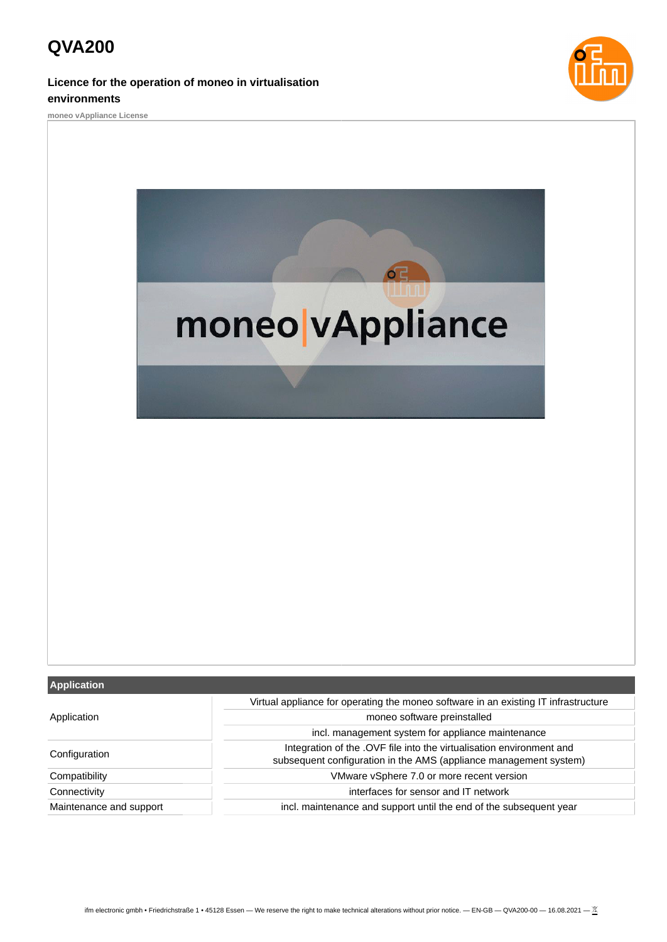# **QVA200**

### **Licence for the operation of moneo in virtualisation environments**







#### **Application**

| Application             | Virtual appliance for operating the moneo software in an existing IT infrastructure |
|-------------------------|-------------------------------------------------------------------------------------|
|                         | moneo software preinstalled                                                         |
|                         | incl. management system for appliance maintenance                                   |
| Configuration           | Integration of the .OVF file into the virtualisation environment and                |
|                         | subsequent configuration in the AMS (appliance management system)                   |
| Compatibility           | VMware vSphere 7.0 or more recent version                                           |
| Connectivity            | interfaces for sensor and IT network                                                |
| Maintenance and support | incl. maintenance and support until the end of the subsequent year                  |